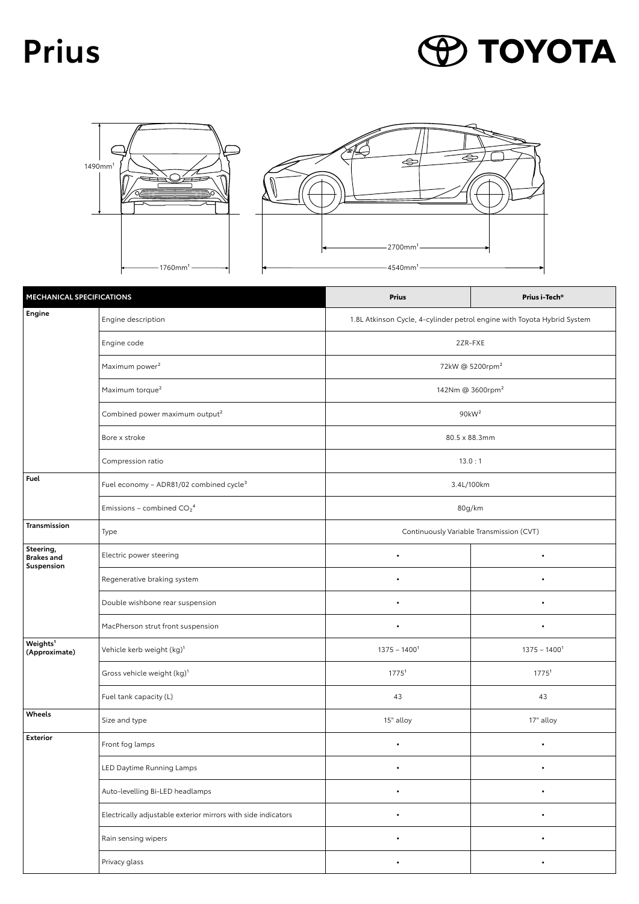## **Prius**

## **P TOYOTA**





| MECHANICAL SPECIFICATIONS                    |                                                               | <b>Prius</b>                                                            | Prius i-Tech®     |  |
|----------------------------------------------|---------------------------------------------------------------|-------------------------------------------------------------------------|-------------------|--|
| <b>Engine</b>                                | Engine description                                            | 1.8L Atkinson Cycle, 4-cylinder petrol engine with Toyota Hybrid System |                   |  |
|                                              | Engine code                                                   | 2ZR-FXE                                                                 |                   |  |
|                                              | Maximum power <sup>2</sup>                                    | 72kW @ 5200rpm <sup>2</sup>                                             |                   |  |
|                                              | Maximum torque <sup>2</sup>                                   | 142Nm @ 3600rpm <sup>2</sup>                                            |                   |  |
|                                              | Combined power maximum output <sup>2</sup>                    | 90kW <sup>2</sup>                                                       |                   |  |
|                                              | Bore x stroke                                                 | 80.5 x 88.3mm                                                           |                   |  |
|                                              | Compression ratio                                             | 13.0:1                                                                  |                   |  |
| Fuel                                         | Fuel economy - ADR81/02 combined cycle <sup>3</sup>           | 3.4L/100km                                                              |                   |  |
|                                              | Emissions - combined $CO_2^4$                                 | 80g/km                                                                  |                   |  |
| Transmission                                 | Type                                                          | Continuously Variable Transmission (CVT)                                |                   |  |
| Steering,<br><b>Brakes and</b><br>Suspension | Electric power steering                                       | $\bullet$                                                               | $\bullet$         |  |
|                                              | Regenerative braking system                                   | $\bullet$                                                               | ۰                 |  |
|                                              | Double wishbone rear suspension                               | $\bullet$                                                               |                   |  |
|                                              | MacPherson strut front suspension                             | ٠                                                                       | ٠                 |  |
| Weights <sup>1</sup><br>(Approximate)        | Vehicle kerb weight (kg) <sup>1</sup>                         | $1375 - 14001$                                                          | $1375 - 14001$    |  |
|                                              | Gross vehicle weight (kg) <sup>1</sup>                        | 1775 <sup>1</sup>                                                       | 1775 <sup>1</sup> |  |
|                                              | Fuel tank capacity (L)                                        | 43                                                                      | 43                |  |
| Wheels                                       | Size and type                                                 | 15" alloy                                                               | 17" alloy         |  |
| Exterior                                     | Front fog lamps                                               | ۰                                                                       |                   |  |
|                                              | LED Daytime Running Lamps                                     |                                                                         |                   |  |
|                                              | Auto-levelling Bi-LED headlamps                               | $\bullet$                                                               | $\bullet$         |  |
|                                              | Electrically adjustable exterior mirrors with side indicators | $\bullet$                                                               | $\bullet$         |  |
|                                              | Rain sensing wipers                                           | $\bullet$                                                               | $\bullet$         |  |
|                                              | Privacy glass                                                 | $\bullet$                                                               | $\bullet$         |  |